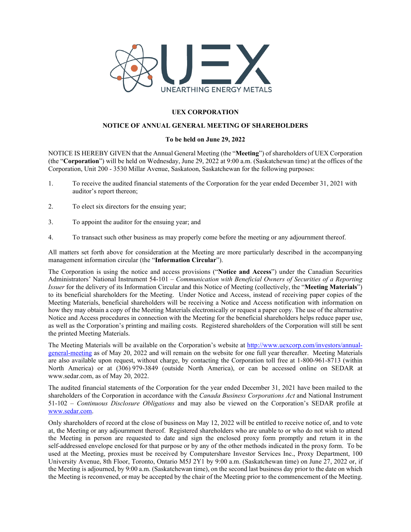

## **UEX CORPORATION**

## **NOTICE OF ANNUAL GENERAL MEETING OF SHAREHOLDERS**

## **To be held on June 29, 2022**

NOTICE IS HEREBY GIVEN that the Annual General Meeting (the "**Meeting**") of shareholders of UEX Corporation (the "**Corporation**") will be held on Wednesday, June 29, 2022 at 9:00 a.m. (Saskatchewan time) at the offices of the Corporation, Unit 200 - 3530 Millar Avenue, Saskatoon, Saskatchewan for the following purposes:

- 1. To receive the audited financial statements of the Corporation for the year ended December 31, 2021 with auditor's report thereon;
- 2. To elect six directors for the ensuing year;
- 3. To appoint the auditor for the ensuing year; and
- 4. To transact such other business as may properly come before the meeting or any adjournment thereof.

All matters set forth above for consideration at the Meeting are more particularly described in the accompanying management information circular (the "**Information Circular**").

The Corporation is using the notice and access provisions ("**Notice and Access**") under the Canadian Securities Administrators' National Instrument 54-101 – *Communication with Beneficial Owners of Securities of a Reporting Issuer* for the delivery of its Information Circular and this Notice of Meeting (collectively, the "**Meeting Materials**") to its beneficial shareholders for the Meeting. Under Notice and Access, instead of receiving paper copies of the Meeting Materials, beneficial shareholders will be receiving a Notice and Access notification with information on how they may obtain a copy of the Meeting Materials electronically or request a paper copy. The use of the alternative Notice and Access procedures in connection with the Meeting for the beneficial shareholders helps reduce paper use, as well as the Corporation's printing and mailing costs. Registered shareholders of the Corporation will still be sent the printed Meeting Materials.

The Meeting Materials will be available on the Corporation's website at [http://www.uexcorp.com/investors/annual](http://www.uexcorp.com/investors/annual-general-meeting)[general-meeting](http://www.uexcorp.com/investors/annual-general-meeting) as of May 20, 2022 and will remain on the website for one full year thereafter. Meeting Materials are also available upon request, without charge, by contacting the Corporation toll free at 1-800-961-8713 (within North America) or at (306) 979-3849 (outside North America), or can be accessed online on SEDAR at www.sedar.com, as of May 20, 2022.

The audited financial statements of the Corporation for the year ended December 31, 2021 have been mailed to the shareholders of the Corporation in accordance with the *Canada Business Corporations Act* and National Instrument 51-102 – *Continuous Disclosure Obligations* and may also be viewed on the Corporation's SEDAR profile at [www.sedar.com.](http://www.sedar.com/)

Only shareholders of record at the close of business on May 12, 2022 will be entitled to receive notice of, and to vote at, the Meeting or any adjournment thereof. Registered shareholders who are unable to or who do not wish to attend the Meeting in person are requested to date and sign the enclosed proxy form promptly and return it in the self-addressed envelope enclosed for that purpose or by any of the other methods indicated in the proxy form. To be used at the Meeting, proxies must be received by Computershare Investor Services Inc., Proxy Department, 100 University Avenue, 8th Floor, Toronto, Ontario M5J 2Y1 by 9:00 a.m. (Saskatchewan time) on June 27, 2022 or, if the Meeting is adjourned, by 9:00 a.m. (Saskatchewan time), on the second last business day prior to the date on which the Meeting is reconvened, or may be accepted by the chair of the Meeting prior to the commencement of the Meeting.